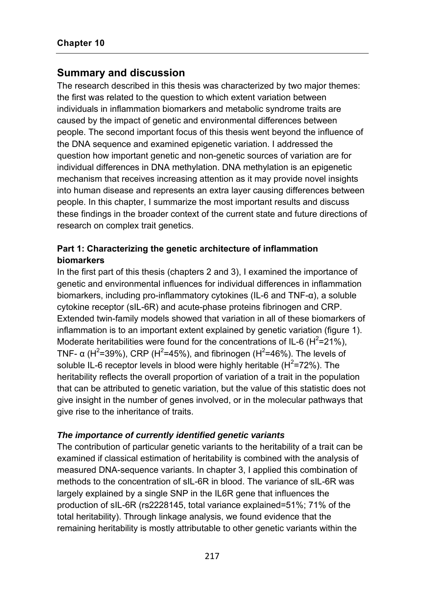# **Summary and discussion**

The research described in this thesis was characterized by two major themes: the first was related to the question to which extent variation between individuals in inflammation biomarkers and metabolic syndrome traits are caused by the impact of genetic and environmental differences between people. The second important focus of this thesis went beyond the influence of the DNA sequence and examined epigenetic variation. I addressed the question how important genetic and non-genetic sources of variation are for individual differences in DNA methylation. DNA methylation is an epigenetic mechanism that receives increasing attention as it may provide novel insights into human disease and represents an extra layer causing differences between people. In this chapter, I summarize the most important results and discuss these findings in the broader context of the current state and future directions of research on complex trait genetics.

# **Part 1: Characterizing the genetic architecture of inflammation biomarkers**

In the first part of this thesis (chapters 2 and 3), I examined the importance of genetic and environmental influences for individual differences in inflammation biomarkers, including pro-inflammatory cytokines (IL-6 and TNF-α), a soluble cytokine receptor (sIL-6R) and acute-phase proteins fibrinogen and CRP. Extended twin-family models showed that variation in all of these biomarkers of inflammation is to an important extent explained by genetic variation (figure 1). Moderate heritabilities were found for the concentrations of IL-6 ( $H^2 = 21\%$ ), TNF- α (H<sup>2</sup>=39%), CRP (H<sup>2</sup>=45%), and fibrinogen (H<sup>2</sup>=46%). The levels of soluble IL-6 receptor levels in blood were highly heritable ( $H^2$ =72%). The heritability reflects the overall proportion of variation of a trait in the population that can be attributed to genetic variation, but the value of this statistic does not give insight in the number of genes involved, or in the molecular pathways that give rise to the inheritance of traits.

## *The importance of currently identified genetic variants*

The contribution of particular genetic variants to the heritability of a trait can be examined if classical estimation of heritability is combined with the analysis of measured DNA-sequence variants. In chapter 3, I applied this combination of methods to the concentration of sIL-6R in blood. The variance of sIL-6R was largely explained by a single SNP in the IL6R gene that influences the production of sIL-6R (rs2228145, total variance explained=51%; 71% of the total heritability). Through linkage analysis, we found evidence that the remaining heritability is mostly attributable to other genetic variants within the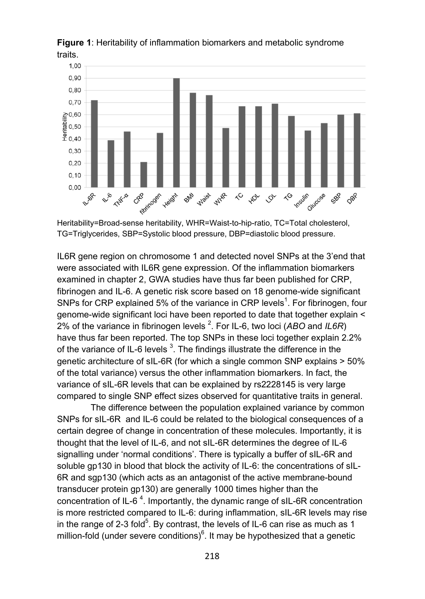

**Figure 1**: Heritability of inflammation biomarkers and metabolic syndrome traits.

Heritability=Broad-sense heritability, WHR=Waist-to-hip-ratio, TC=Total cholesterol, TG=Triglycerides, SBP=Systolic blood pressure, DBP=diastolic blood pressure.

IL6R gene region on chromosome 1 and detected novel SNPs at the 3'end that were associated with IL6R gene expression. Of the inflammation biomarkers examined in chapter 2, GWA studies have thus far been published for CRP, fibrinogen and IL-6. A genetic risk score based on 18 genome-wide significant SNPs for CRP explained 5% of the variance in CRP levels<sup>1</sup>. For fibrinogen, four genome-wide significant loci have been reported to date that together explain < 2% of the variance in fibrinogen levels <sup>2</sup>. For IL-6, two loci (ABO and IL6R) have thus far been reported. The top SNPs in these loci together explain 2.2% of the variance of IL-6 levels  $^3$ . The findings illustrate the difference in the genetic architecture of sIL-6R (for which a single common SNP explains > 50% of the total variance) versus the other inflammation biomarkers. In fact, the variance of sIL-6R levels that can be explained by rs2228145 is very large compared to single SNP effect sizes observed for quantitative traits in general.

 The difference between the population explained variance by common SNPs for sIL-6R and IL-6 could be related to the biological consequences of a certain degree of change in concentration of these molecules. Importantly, it is thought that the level of IL-6, and not sIL-6R determines the degree of IL-6 signalling under 'normal conditions'. There is typically a buffer of sIL-6R and soluble gp130 in blood that block the activity of IL-6: the concentrations of sIL-6R and sgp130 (which acts as an antagonist of the active membrane-bound transducer protein gp130) are generally 1000 times higher than the concentration of IL-6<sup>4</sup>. Importantly, the dynamic range of sIL-6R concentration is more restricted compared to IL-6: during inflammation, sIL-6R levels may rise in the range of 2-3 fold<sup>5</sup>. By contrast, the levels of IL-6 can rise as much as 1 million-fold (under severe conditions) $6$ . It may be hypothesized that a genetic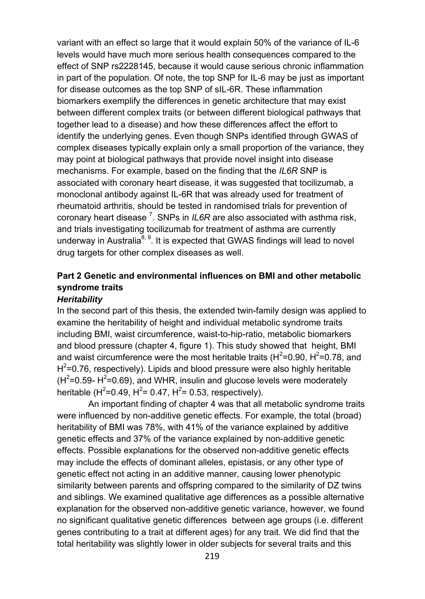variant with an effect so large that it would explain 50% of the variance of IL-6 levels would have much more serious health consequences compared to the effect of SNP rs2228145, because it would cause serious chronic inflammation in part of the population. Of note, the top SNP for IL-6 may be just as important for disease outcomes as the top SNP of sIL-6R. These inflammation biomarkers exemplify the differences in genetic architecture that may exist between different complex traits (or between different biological pathways that together lead to a disease) and how these differences affect the effort to identify the underlying genes. Even though SNPs identified through GWAS of complex diseases typically explain only a small proportion of the variance, they may point at biological pathways that provide novel insight into disease mechanisms. For example, based on the finding that the *IL6R* SNP is associated with coronary heart disease, it was suggested that tocilizumab, a monoclonal antibody against IL-6R that was already used for treatment of rheumatoid arthritis, should be tested in randomised trials for prevention of coronary heart disease <sup>7</sup>. SNPs in *IL6R* are also associated with asthma risk, and trials investigating tocilizumab for treatment of asthma are currently underway in Australia<sup>8, 9</sup>. It is expected that GWAS findings will lead to novel drug targets for other complex diseases as well.

# **Part 2 Genetic and environmental influences on BMI and other metabolic syndrome traits**

### *Heritability*

In the second part of this thesis, the extended twin-family design was applied to examine the heritability of height and individual metabolic syndrome traits including BMI, waist circumference, waist-to-hip-ratio, metabolic biomarkers and blood pressure (chapter 4, figure 1). This study showed that height, BMI and waist circumference were the most heritable traits ( $H^2$ =0.90,  $H^2$ =0.78, and  $H^2$ =0.76, respectively). Lipids and blood pressure were also highly heritable  $(H^2=0.59$ -  $H^2=0.69)$ , and WHR, insulin and glucose levels were moderately heritable (H<sup>2</sup>=0.49, H<sup>2</sup>= 0.47, H<sup>2</sup>= 0.53, respectively).

An important finding of chapter 4 was that all metabolic syndrome traits were influenced by non-additive genetic effects. For example, the total (broad) heritability of BMI was 78%, with 41% of the variance explained by additive genetic effects and 37% of the variance explained by non-additive genetic effects. Possible explanations for the observed non-additive genetic effects may include the effects of dominant alleles, epistasis, or any other type of genetic effect not acting in an additive manner, causing lower phenotypic similarity between parents and offspring compared to the similarity of DZ twins and siblings. We examined qualitative age differences as a possible alternative explanation for the observed non-additive genetic variance, however, we found no significant qualitative genetic differences between age groups (i.e. different genes contributing to a trait at different ages) for any trait. We did find that the total heritability was slightly lower in older subjects for several traits and this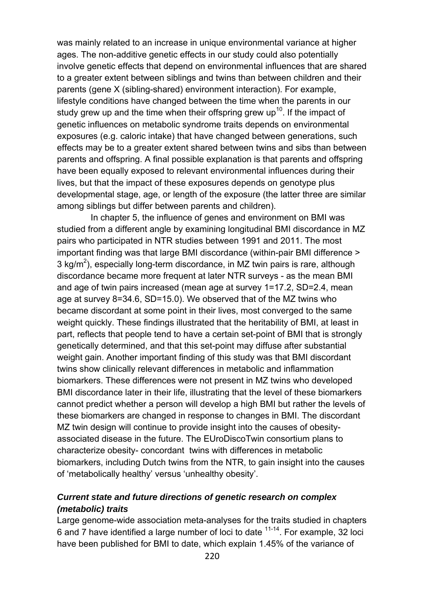was mainly related to an increase in unique environmental variance at higher ages. The non-additive genetic effects in our study could also potentially involve genetic effects that depend on environmental influences that are shared to a greater extent between siblings and twins than between children and their parents (gene X (sibling-shared) environment interaction). For example, lifestyle conditions have changed between the time when the parents in our study grew up and the time when their offspring grew up<sup>10</sup>. If the impact of genetic influences on metabolic syndrome traits depends on environmental exposures (e.g. caloric intake) that have changed between generations, such effects may be to a greater extent shared between twins and sibs than between parents and offspring. A final possible explanation is that parents and offspring have been equally exposed to relevant environmental influences during their lives, but that the impact of these exposures depends on genotype plus developmental stage, age, or length of the exposure (the latter three are similar among siblings but differ between parents and children).

 In chapter 5, the influence of genes and environment on BMI was studied from a different angle by examining longitudinal BMI discordance in MZ pairs who participated in NTR studies between 1991 and 2011. The most important finding was that large BMI discordance (within-pair BMI difference > 3 kg/m<sup>2</sup>), especially long-term discordance, in MZ twin pairs is rare, although discordance became more frequent at later NTR surveys - as the mean BMI and age of twin pairs increased (mean age at survey 1=17.2, SD=2.4, mean age at survey 8=34.6, SD=15.0). We observed that of the MZ twins who became discordant at some point in their lives, most converged to the same weight quickly. These findings illustrated that the heritability of BMI, at least in part, reflects that people tend to have a certain set-point of BMI that is strongly genetically determined, and that this set-point may diffuse after substantial weight gain. Another important finding of this study was that BMI discordant twins show clinically relevant differences in metabolic and inflammation biomarkers. These differences were not present in MZ twins who developed BMI discordance later in their life, illustrating that the level of these biomarkers cannot predict whether a person will develop a high BMI but rather the levels of these biomarkers are changed in response to changes in BMI. The discordant MZ twin design will continue to provide insight into the causes of obesityassociated disease in the future. The EUroDiscoTwin consortium plans to characterize obesity- concordant twins with differences in metabolic biomarkers, including Dutch twins from the NTR, to gain insight into the causes of 'metabolically healthy' versus 'unhealthy obesity'.

## *Current state and future directions of genetic research on complex (metabolic) traits*

Large genome-wide association meta-analyses for the traits studied in chapters 6 and 7 have identified a large number of loci to date  $11-14$ . For example, 32 loci have been published for BMI to date, which explain 1.45% of the variance of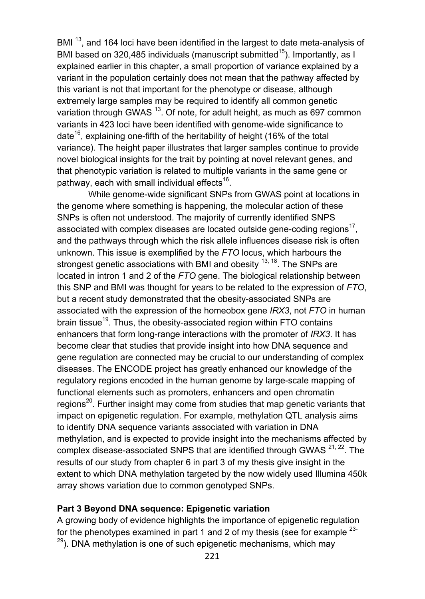BMI<sup>13</sup>, and 164 loci have been identified in the largest to date meta-analysis of BMI based on 320,485 individuals (manuscript submitted<sup>15</sup>). Importantly, as I explained earlier in this chapter, a small proportion of variance explained by a variant in the population certainly does not mean that the pathway affected by this variant is not that important for the phenotype or disease, although extremely large samples may be required to identify all common genetic variation through GWAS<sup>13</sup>. Of note, for adult height, as much as 697 common variants in 423 loci have been identified with genome-wide significance to date<sup>16</sup>, explaining one-fifth of the heritability of height (16% of the total variance). The height paper illustrates that larger samples continue to provide novel biological insights for the trait by pointing at novel relevant genes, and that phenotypic variation is related to multiple variants in the same gene or pathway, each with small individual effects<sup>16</sup>.

While genome-wide significant SNPs from GWAS point at locations in the genome where something is happening, the molecular action of these SNPs is often not understood. The majority of currently identified SNPS associated with complex diseases are located outside gene-coding regions<sup>17</sup>, and the pathways through which the risk allele influences disease risk is often unknown. This issue is exemplified by the *FTO* locus, which harbours the strongest genetic associations with BMI and obesity  $13, 18$ . The SNPs are located in intron 1 and 2 of the *FTO* gene. The biological relationship between this SNP and BMI was thought for years to be related to the expression of *FTO*, but a recent study demonstrated that the obesity-associated SNPs are associated with the expression of the homeobox gene *IRX3*, not *FTO* in human brain tissue<sup>19</sup>. Thus, the obesity-associated region within FTO contains enhancers that form long-range interactions with the promoter of *IRX3*. It has become clear that studies that provide insight into how DNA sequence and gene regulation are connected may be crucial to our understanding of complex diseases. The ENCODE project has greatly enhanced our knowledge of the regulatory regions encoded in the human genome by large-scale mapping of functional elements such as promoters, enhancers and open chromatin regions<sup>20</sup>. Further insight may come from studies that map genetic variants that impact on epigenetic regulation. For example, methylation QTL analysis aims to identify DNA sequence variants associated with variation in DNA methylation, and is expected to provide insight into the mechanisms affected by complex disease-associated SNPS that are identified through GWAS  $21, 22$ . The results of our study from chapter 6 in part 3 of my thesis give insight in the extent to which DNA methylation targeted by the now widely used Illumina 450k array shows variation due to common genotyped SNPs.

### **Part 3 Beyond DNA sequence: Epigenetic variation**

A growing body of evidence highlights the importance of epigenetic regulation for the phenotypes examined in part 1 and 2 of my thesis (see for example  $^{23-}$  $29$ ). DNA methylation is one of such epigenetic mechanisms, which may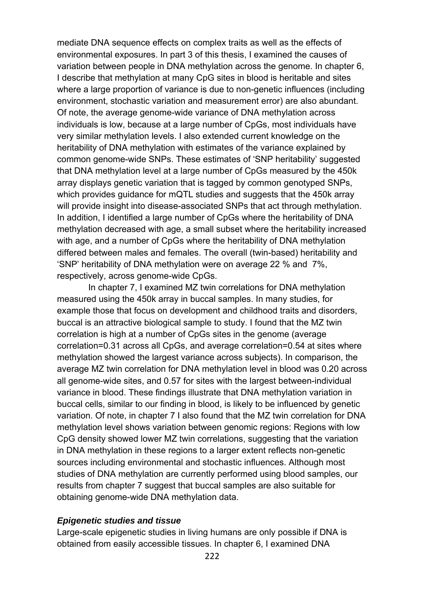mediate DNA sequence effects on complex traits as well as the effects of environmental exposures. In part 3 of this thesis, I examined the causes of variation between people in DNA methylation across the genome. In chapter 6, I describe that methylation at many CpG sites in blood is heritable and sites where a large proportion of variance is due to non-genetic influences (including environment, stochastic variation and measurement error) are also abundant. Of note, the average genome-wide variance of DNA methylation across individuals is low, because at a large number of CpGs, most individuals have very similar methylation levels. I also extended current knowledge on the heritability of DNA methylation with estimates of the variance explained by common genome-wide SNPs. These estimates of 'SNP heritability' suggested that DNA methylation level at a large number of CpGs measured by the 450k array displays genetic variation that is tagged by common genotyped SNPs, which provides guidance for mQTL studies and suggests that the 450k array will provide insight into disease-associated SNPs that act through methylation. In addition, I identified a large number of CpGs where the heritability of DNA methylation decreased with age, a small subset where the heritability increased with age, and a number of CpGs where the heritability of DNA methylation differed between males and females. The overall (twin-based) heritability and 'SNP' heritability of DNA methylation were on average 22 % and 7%, respectively, across genome-wide CpGs.

In chapter 7, I examined MZ twin correlations for DNA methylation measured using the 450k array in buccal samples. In many studies, for example those that focus on development and childhood traits and disorders, buccal is an attractive biological sample to study. I found that the MZ twin correlation is high at a number of CpGs sites in the genome (average correlation=0.31 across all CpGs, and average correlation=0.54 at sites where methylation showed the largest variance across subjects). In comparison, the average MZ twin correlation for DNA methylation level in blood was 0.20 across all genome-wide sites, and 0.57 for sites with the largest between-individual variance in blood. These findings illustrate that DNA methylation variation in buccal cells, similar to our finding in blood, is likely to be influenced by genetic variation. Of note, in chapter 7 I also found that the MZ twin correlation for DNA methylation level shows variation between genomic regions: Regions with low CpG density showed lower MZ twin correlations, suggesting that the variation in DNA methylation in these regions to a larger extent reflects non-genetic sources including environmental and stochastic influences. Although most studies of DNA methylation are currently performed using blood samples, our results from chapter 7 suggest that buccal samples are also suitable for obtaining genome-wide DNA methylation data.

#### *Epigenetic studies and tissue*

Large-scale epigenetic studies in living humans are only possible if DNA is obtained from easily accessible tissues. In chapter 6, I examined DNA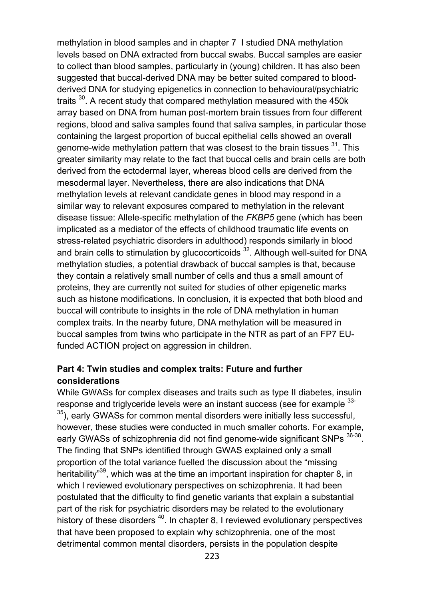methylation in blood samples and in chapter 7 I studied DNA methylation levels based on DNA extracted from buccal swabs. Buccal samples are easier to collect than blood samples, particularly in (young) children. It has also been suggested that buccal-derived DNA may be better suited compared to bloodderived DNA for studying epigenetics in connection to behavioural/psychiatric traits <sup>30</sup>. A recent study that compared methylation measured with the 450k array based on DNA from human post-mortem brain tissues from four different regions, blood and saliva samples found that saliva samples, in particular those containing the largest proportion of buccal epithelial cells showed an overall genome-wide methylation pattern that was closest to the brain tissues <sup>31</sup>. This greater similarity may relate to the fact that buccal cells and brain cells are both derived from the ectodermal layer, whereas blood cells are derived from the mesodermal layer. Nevertheless, there are also indications that DNA methylation levels at relevant candidate genes in blood may respond in a similar way to relevant exposures compared to methylation in the relevant disease tissue: Allele-specific methylation of the *FKBP5* gene (which has been implicated as a mediator of the effects of childhood traumatic life events on stress-related psychiatric disorders in adulthood) responds similarly in blood and brain cells to stimulation by glucocorticoids  $32$ . Although well-suited for DNA methylation studies, a potential drawback of buccal samples is that, because they contain a relatively small number of cells and thus a small amount of proteins, they are currently not suited for studies of other epigenetic marks such as histone modifications. In conclusion, it is expected that both blood and buccal will contribute to insights in the role of DNA methylation in human complex traits. In the nearby future, DNA methylation will be measured in buccal samples from twins who participate in the NTR as part of an FP7 EUfunded ACTION project on aggression in children.

## **Part 4: Twin studies and complex traits: Future and further considerations**

While GWASs for complex diseases and traits such as type II diabetes, insulin response and triglyceride levels were an instant success (see for example <sup>33-</sup>  $35$ ), early GWASs for common mental disorders were initially less successful, however, these studies were conducted in much smaller cohorts. For example, early GWASs of schizophrenia did not find genome-wide significant SNPs  $36-38$ . The finding that SNPs identified through GWAS explained only a small proportion of the total variance fuelled the discussion about the "missing heritability<sup>"39</sup>, which was at the time an important inspiration for chapter 8, in which I reviewed evolutionary perspectives on schizophrenia. It had been postulated that the difficulty to find genetic variants that explain a substantial part of the risk for psychiatric disorders may be related to the evolutionary history of these disorders<sup>40</sup>. In chapter 8, I reviewed evolutionary perspectives that have been proposed to explain why schizophrenia, one of the most detrimental common mental disorders, persists in the population despite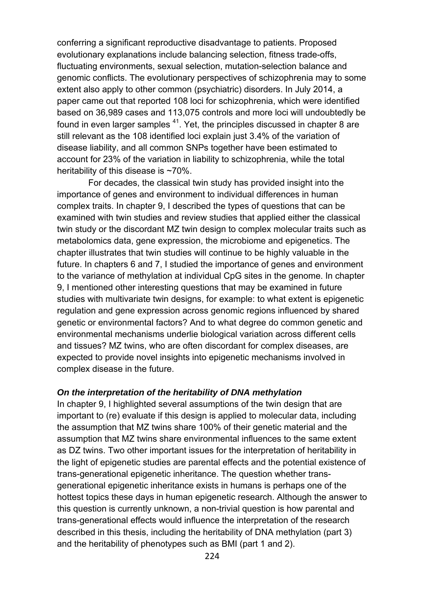conferring a significant reproductive disadvantage to patients. Proposed evolutionary explanations include balancing selection, fitness trade-offs, fluctuating environments, sexual selection, mutation-selection balance and genomic conflicts. The evolutionary perspectives of schizophrenia may to some extent also apply to other common (psychiatric) disorders. In July 2014, a paper came out that reported 108 loci for schizophrenia, which were identified based on 36,989 cases and 113,075 controls and more loci will undoubtedly be found in even larger samples  $41$ . Yet, the principles discussed in chapter 8 are still relevant as the 108 identified loci explain just 3.4% of the variation of disease liability, and all common SNPs together have been estimated to account for 23% of the variation in liability to schizophrenia, while the total heritability of this disease is ~70%.

For decades, the classical twin study has provided insight into the importance of genes and environment to individual differences in human complex traits. In chapter 9, I described the types of questions that can be examined with twin studies and review studies that applied either the classical twin study or the discordant MZ twin design to complex molecular traits such as metabolomics data, gene expression, the microbiome and epigenetics. The chapter illustrates that twin studies will continue to be highly valuable in the future. In chapters 6 and 7, I studied the importance of genes and environment to the variance of methylation at individual CpG sites in the genome. In chapter 9, I mentioned other interesting questions that may be examined in future studies with multivariate twin designs, for example: to what extent is epigenetic regulation and gene expression across genomic regions influenced by shared genetic or environmental factors? And to what degree do common genetic and environmental mechanisms underlie biological variation across different cells and tissues? MZ twins, who are often discordant for complex diseases, are expected to provide novel insights into epigenetic mechanisms involved in complex disease in the future.

#### *On the interpretation of the heritability of DNA methylation*

In chapter 9, I highlighted several assumptions of the twin design that are important to (re) evaluate if this design is applied to molecular data, including the assumption that MZ twins share 100% of their genetic material and the assumption that MZ twins share environmental influences to the same extent as DZ twins. Two other important issues for the interpretation of heritability in the light of epigenetic studies are parental effects and the potential existence of trans-generational epigenetic inheritance. The question whether transgenerational epigenetic inheritance exists in humans is perhaps one of the hottest topics these days in human epigenetic research. Although the answer to this question is currently unknown, a non-trivial question is how parental and trans-generational effects would influence the interpretation of the research described in this thesis, including the heritability of DNA methylation (part 3) and the heritability of phenotypes such as BMI (part 1 and 2).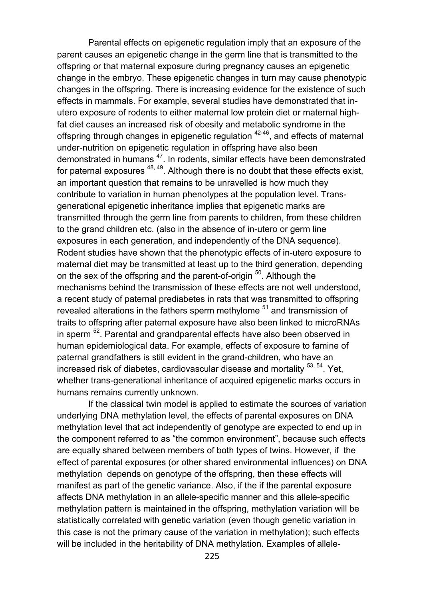Parental effects on epigenetic regulation imply that an exposure of the parent causes an epigenetic change in the germ line that is transmitted to the offspring or that maternal exposure during pregnancy causes an epigenetic change in the embryo. These epigenetic changes in turn may cause phenotypic changes in the offspring. There is increasing evidence for the existence of such effects in mammals. For example, several studies have demonstrated that inutero exposure of rodents to either maternal low protein diet or maternal highfat diet causes an increased risk of obesity and metabolic syndrome in the offspring through changes in epigenetic regulation <sup>42-46</sup>, and effects of maternal under-nutrition on epigenetic regulation in offspring have also been demonstrated in humans<sup>47</sup>. In rodents, similar effects have been demonstrated for paternal exposures  $48, 49$ . Although there is no doubt that these effects exist, an important question that remains to be unravelled is how much they contribute to variation in human phenotypes at the population level. Transgenerational epigenetic inheritance implies that epigenetic marks are transmitted through the germ line from parents to children, from these children to the grand children etc. (also in the absence of in-utero or germ line exposures in each generation, and independently of the DNA sequence). Rodent studies have shown that the phenotypic effects of in-utero exposure to maternal diet may be transmitted at least up to the third generation, depending on the sex of the offspring and the parent-of-origin <sup>50</sup>. Although the mechanisms behind the transmission of these effects are not well understood, a recent study of paternal prediabetes in rats that was transmitted to offspring revealed alterations in the fathers sperm methylome <sup>51</sup> and transmission of traits to offspring after paternal exposure have also been linked to microRNAs in sperm<sup>52</sup>. Parental and grandparental effects have also been observed in human epidemiological data. For example, effects of exposure to famine of paternal grandfathers is still evident in the grand-children, who have an increased risk of diabetes, cardiovascular disease and mortality  $53, 54$ . Yet, whether trans-generational inheritance of acquired epigenetic marks occurs in humans remains currently unknown.

If the classical twin model is applied to estimate the sources of variation underlying DNA methylation level, the effects of parental exposures on DNA methylation level that act independently of genotype are expected to end up in the component referred to as "the common environment", because such effects are equally shared between members of both types of twins. However, if the effect of parental exposures (or other shared environmental influences) on DNA methylation depends on genotype of the offspring, then these effects will manifest as part of the genetic variance. Also, if the if the parental exposure affects DNA methylation in an allele-specific manner and this allele-specific methylation pattern is maintained in the offspring, methylation variation will be statistically correlated with genetic variation (even though genetic variation in this case is not the primary cause of the variation in methylation); such effects will be included in the heritability of DNA methylation. Examples of allele-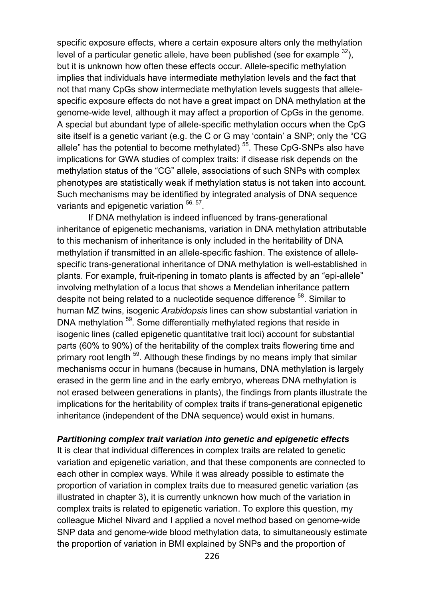specific exposure effects, where a certain exposure alters only the methylation level of a particular genetic allele, have been published (see for example  $^{32}$ ), but it is unknown how often these effects occur. Allele-specific methylation implies that individuals have intermediate methylation levels and the fact that not that many CpGs show intermediate methylation levels suggests that allelespecific exposure effects do not have a great impact on DNA methylation at the genome-wide level, although it may affect a proportion of CpGs in the genome. A special but abundant type of allele-specific methylation occurs when the CpG site itself is a genetic variant (e.g. the C or G may 'contain' a SNP; only the "CG allele" has the potential to become methylated)  $55$ . These CpG-SNPs also have implications for GWA studies of complex traits: if disease risk depends on the methylation status of the "CG" allele, associations of such SNPs with complex phenotypes are statistically weak if methylation status is not taken into account. Such mechanisms may be identified by integrated analysis of DNA sequence variants and epigenetic variation  $56, 57$ .

 If DNA methylation is indeed influenced by trans-generational inheritance of epigenetic mechanisms, variation in DNA methylation attributable to this mechanism of inheritance is only included in the heritability of DNA methylation if transmitted in an allele-specific fashion. The existence of allelespecific trans-generational inheritance of DNA methylation is well-established in plants. For example, fruit-ripening in tomato plants is affected by an "epi-allele" involving methylation of a locus that shows a Mendelian inheritance pattern despite not being related to a nucleotide sequence difference <sup>58</sup>. Similar to human MZ twins, isogenic *Arabidopsis* lines can show substantial variation in DNA methylation <sup>59</sup>. Some differentially methylated regions that reside in isogenic lines (called epigenetic quantitative trait loci) account for substantial parts (60% to 90%) of the heritability of the complex traits flowering time and primary root length <sup>59</sup>. Although these findings by no means imply that similar mechanisms occur in humans (because in humans, DNA methylation is largely erased in the germ line and in the early embryo, whereas DNA methylation is not erased between generations in plants), the findings from plants illustrate the implications for the heritability of complex traits if trans-generational epigenetic inheritance (independent of the DNA sequence) would exist in humans.

#### *Partitioning complex trait variation into genetic and epigenetic effects*

It is clear that individual differences in complex traits are related to genetic variation and epigenetic variation, and that these components are connected to each other in complex ways. While it was already possible to estimate the proportion of variation in complex traits due to measured genetic variation (as illustrated in chapter 3), it is currently unknown how much of the variation in complex traits is related to epigenetic variation. To explore this question, my colleague Michel Nivard and I applied a novel method based on genome-wide SNP data and genome-wide blood methylation data, to simultaneously estimate the proportion of variation in BMI explained by SNPs and the proportion of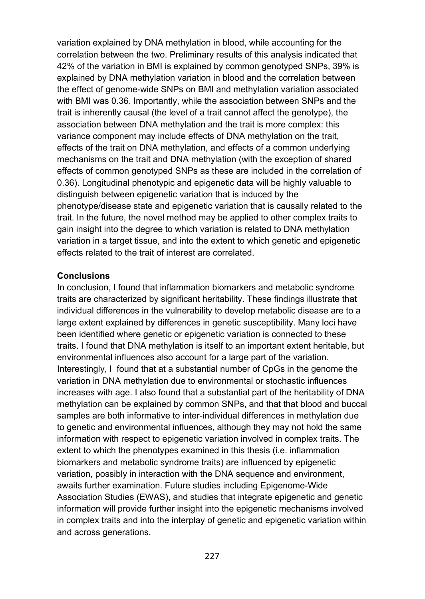variation explained by DNA methylation in blood, while accounting for the correlation between the two. Preliminary results of this analysis indicated that 42% of the variation in BMI is explained by common genotyped SNPs, 39% is explained by DNA methylation variation in blood and the correlation between the effect of genome-wide SNPs on BMI and methylation variation associated with BMI was 0.36. Importantly, while the association between SNPs and the trait is inherently causal (the level of a trait cannot affect the genotype), the association between DNA methylation and the trait is more complex: this variance component may include effects of DNA methylation on the trait, effects of the trait on DNA methylation, and effects of a common underlying mechanisms on the trait and DNA methylation (with the exception of shared effects of common genotyped SNPs as these are included in the correlation of 0.36). Longitudinal phenotypic and epigenetic data will be highly valuable to distinguish between epigenetic variation that is induced by the phenotype/disease state and epigenetic variation that is causally related to the trait. In the future, the novel method may be applied to other complex traits to gain insight into the degree to which variation is related to DNA methylation variation in a target tissue, and into the extent to which genetic and epigenetic effects related to the trait of interest are correlated.

### **Conclusions**

In conclusion, I found that inflammation biomarkers and metabolic syndrome traits are characterized by significant heritability. These findings illustrate that individual differences in the vulnerability to develop metabolic disease are to a large extent explained by differences in genetic susceptibility. Many loci have been identified where genetic or epigenetic variation is connected to these traits. I found that DNA methylation is itself to an important extent heritable, but environmental influences also account for a large part of the variation. Interestingly, I found that at a substantial number of CpGs in the genome the variation in DNA methylation due to environmental or stochastic influences increases with age. I also found that a substantial part of the heritability of DNA methylation can be explained by common SNPs, and that that blood and buccal samples are both informative to inter-individual differences in methylation due to genetic and environmental influences, although they may not hold the same information with respect to epigenetic variation involved in complex traits. The extent to which the phenotypes examined in this thesis (i.e. inflammation biomarkers and metabolic syndrome traits) are influenced by epigenetic variation, possibly in interaction with the DNA sequence and environment, awaits further examination. Future studies including Epigenome-Wide Association Studies (EWAS), and studies that integrate epigenetic and genetic information will provide further insight into the epigenetic mechanisms involved in complex traits and into the interplay of genetic and epigenetic variation within and across generations.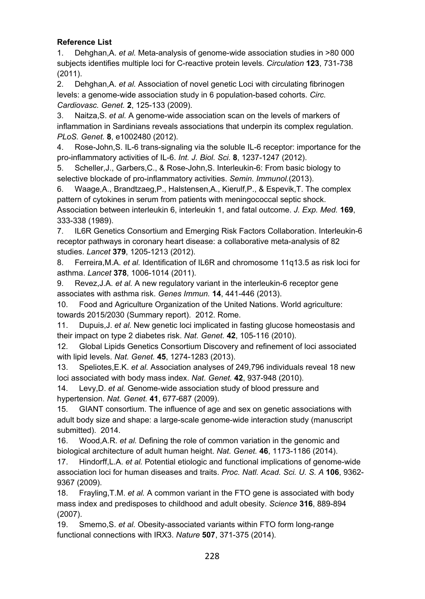### **Reference List**

1. Dehghan,A. *et al.* Meta-analysis of genome-wide association studies in >80 000 subjects identifies multiple loci for C-reactive protein levels. *Circulation* **123**, 731-738 (2011).

2. Dehghan,A. *et al.* Association of novel genetic Loci with circulating fibrinogen levels: a genome-wide association study in 6 population-based cohorts. *Circ. Cardiovasc. Genet.* **2**, 125-133 (2009).

3. Naitza,S. *et al.* A genome-wide association scan on the levels of markers of inflammation in Sardinians reveals associations that underpin its complex regulation. *PLoS. Genet.* **8**, e1002480 (2012).

4. Rose-John,S. IL-6 trans-signaling via the soluble IL-6 receptor: importance for the pro-inflammatory activities of IL-6. *Int. J. Biol. Sci.* **8**, 1237-1247 (2012).

5. Scheller,J., Garbers,C., & Rose-John,S. Interleukin-6: From basic biology to selective blockade of pro-inflammatory activities. *Semin. Immunol.*(2013).

6. Waage,A., Brandtzaeg,P., Halstensen,A., Kierulf,P., & Espevik,T. The complex pattern of cytokines in serum from patients with meningococcal septic shock. Association between interleukin 6, interleukin 1, and fatal outcome. *J. Exp. Med.* **169**, 333-338 (1989).

7. IL6R Genetics Consortium and Emerging Risk Factors Collaboration. Interleukin-6 receptor pathways in coronary heart disease: a collaborative meta-analysis of 82 studies. *Lancet* **379**, 1205-1213 (2012).

8. Ferreira,M.A. *et al.* Identification of IL6R and chromosome 11q13.5 as risk loci for asthma. *Lancet* **378**, 1006-1014 (2011).

9. Revez,J.A. *et al.* A new regulatory variant in the interleukin-6 receptor gene associates with asthma risk. *Genes Immun.* **14**, 441-446 (2013).

10. Food and Agriculture Organization of the United Nations. World agriculture: towards 2015/2030 (Summary report). 2012. Rome.

11. Dupuis,J. *et al.* New genetic loci implicated in fasting glucose homeostasis and their impact on type 2 diabetes risk. *Nat. Genet.* **42**, 105-116 (2010).

12. Global Lipids Genetics Consortium Discovery and refinement of loci associated with lipid levels. *Nat. Genet.* **45**, 1274-1283 (2013).

13. Speliotes,E.K. *et al.* Association analyses of 249,796 individuals reveal 18 new loci associated with body mass index. *Nat. Genet.* **42**, 937-948 (2010).

14. Levy,D. *et al.* Genome-wide association study of blood pressure and hypertension. *Nat. Genet.* **41**, 677-687 (2009).

15. GIANT consortium. The influence of age and sex on genetic associations with adult body size and shape: a large-scale genome-wide interaction study (manuscript submitted). 2014.

16. Wood,A.R. *et al.* Defining the role of common variation in the genomic and biological architecture of adult human height. *Nat. Genet.* **46**, 1173-1186 (2014).

17. Hindorff,L.A. *et al.* Potential etiologic and functional implications of genome-wide association loci for human diseases and traits. *Proc. Natl. Acad. Sci. U. S. A* **106**, 9362- 9367 (2009).

18. Frayling,T.M. *et al.* A common variant in the FTO gene is associated with body mass index and predisposes to childhood and adult obesity. *Science* **316**, 889-894 (2007).

19. Smemo,S. *et al.* Obesity-associated variants within FTO form long-range functional connections with IRX3. *Nature* **507**, 371-375 (2014).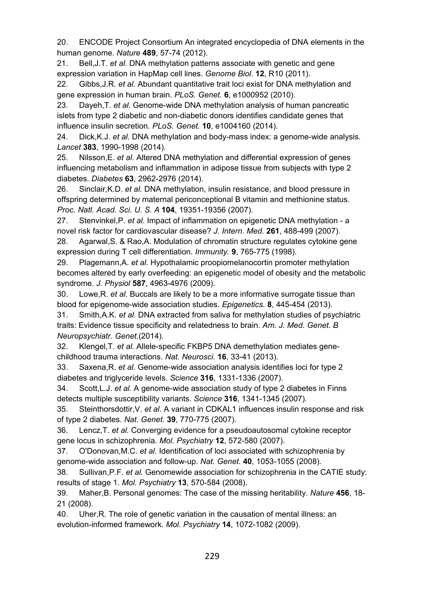20. ENCODE Project Consortium An integrated encyclopedia of DNA elements in the human genome. *Nature* **489**, 57-74 (2012).

21. Bell,J.T. *et al.* DNA methylation patterns associate with genetic and gene expression variation in HapMap cell lines. *Genome Biol.* **12**, R10 (2011).

22. Gibbs,J.R. *et al.* Abundant quantitative trait loci exist for DNA methylation and gene expression in human brain. *PLoS. Genet.* **6**, e1000952 (2010).

23. Dayeh,T. *et al.* Genome-wide DNA methylation analysis of human pancreatic islets from type 2 diabetic and non-diabetic donors identifies candidate genes that influence insulin secretion. *PLoS. Genet.* **10**, e1004160 (2014).

24. Dick,K.J. *et al.* DNA methylation and body-mass index: a genome-wide analysis. *Lancet* **383**, 1990-1998 (2014).

25. Nilsson,E. *et al.* Altered DNA methylation and differential expression of genes influencing metabolism and inflammation in adipose tissue from subjects with type 2 diabetes. *Diabetes* **63**, 2962-2976 (2014).

26. Sinclair,K.D. *et al.* DNA methylation, insulin resistance, and blood pressure in offspring determined by maternal periconceptional B vitamin and methionine status. *Proc. Natl. Acad. Sci. U. S. A* **104**, 19351-19356 (2007).

27. Stenvinkel,P. *et al.* Impact of inflammation on epigenetic DNA methylation - a novel risk factor for cardiovascular disease? *J. Intern. Med.* **261**, 488-499 (2007).

28. Agarwal,S. & Rao,A. Modulation of chromatin structure regulates cytokine gene expression during T cell differentiation. *Immunity.* **9**, 765-775 (1998).

29. Plagemann,A. *et al.* Hypothalamic proopiomelanocortin promoter methylation becomes altered by early overfeeding: an epigenetic model of obesity and the metabolic syndrome. *J. Physiol* **587**, 4963-4976 (2009).

30. Lowe,R. *et al.* Buccals are likely to be a more informative surrogate tissue than blood for epigenome-wide association studies. *Epigenetics.* **8**, 445-454 (2013).

31. Smith,A.K. *et al.* DNA extracted from saliva for methylation studies of psychiatric traits: Evidence tissue specificity and relatedness to brain. *Am. J. Med. Genet. B Neuropsychiatr. Genet.*(2014).

32. Klengel,T. *et al.* Allele-specific FKBP5 DNA demethylation mediates genechildhood trauma interactions. *Nat. Neurosci.* **16**, 33-41 (2013).

33. Saxena,R. *et al.* Genome-wide association analysis identifies loci for type 2 diabetes and triglyceride levels. *Science* **316**, 1331-1336 (2007).

34. Scott,L.J. *et al.* A genome-wide association study of type 2 diabetes in Finns detects multiple susceptibility variants. *Science* **316**, 1341-1345 (2007).

35. Steinthorsdottir,V. *et al.* A variant in CDKAL1 influences insulin response and risk of type 2 diabetes. *Nat. Genet.* **39**, 770-775 (2007).

36. Lencz,T. *et al.* Converging evidence for a pseudoautosomal cytokine receptor gene locus in schizophrenia. *Mol. Psychiatry* **12**, 572-580 (2007).

37. O'Donovan,M.C. *et al.* Identification of loci associated with schizophrenia by genome-wide association and follow-up. *Nat. Genet.* **40**, 1053-1055 (2008).

38. Sullivan,P.F. *et al.* Genomewide association for schizophrenia in the CATIE study: results of stage 1. *Mol. Psychiatry* **13**, 570-584 (2008).

39. Maher,B. Personal genomes: The case of the missing heritability. *Nature* **456**, 18- 21 (2008).

40. Uher,R. The role of genetic variation in the causation of mental illness: an evolution-informed framework. *Mol. Psychiatry* **14**, 1072-1082 (2009).